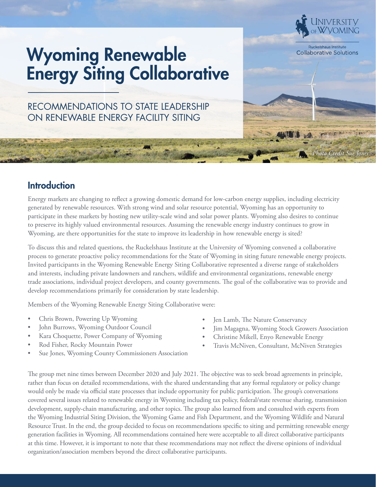## Wyoming Renewable Energy Siting Collaborative

RECOMMENDATIONS TO STATE LEADERSHIP ON RENEWABLE ENERGY FACILITY SITING

## **Introduction**

Energy markets are changing to reflect a growing domestic demand for low-carbon energy supplies, including electricity generated by renewable resources. With strong wind and solar resource potential, Wyoming has an opportunity to participate in these markets by hosting new utility-scale wind and solar power plants. Wyoming also desires to continue to preserve its highly valued environmental resources. Assuming the renewable energy industry continues to grow in Wyoming, are there opportunities for the state to improve its leadership in how renewable energy is sited?

To discuss this and related questions, the Ruckelshaus Institute at the University of Wyoming convened a collaborative process to generate proactive policy recommendations for the State of Wyoming in siting future renewable energy projects. Invited participants in the Wyoming Renewable Energy Siting Collaborative represented a diverse range of stakeholders and interests, including private landowners and ranchers, wildlife and environmental organizations, renewable energy trade associations, individual project developers, and county governments. The goal of the collaborative was to provide and develop recommendations primarily for consideration by state leadership.

Members of the Wyoming Renewable Energy Siting Collaborative were:

- Chris Brown, Powering Up Wyoming
- John Burrows, Wyoming Outdoor Council
- Kara Choquette, Power Company of Wyoming
- Rod Fisher, Rocky Mountain Power
- Sue Jones, Wyoming County Commissioners Association
- Jen Lamb, The Nature Conservancy
- Jim Magagna, Wyoming Stock Growers Association

*Photo Credit Sue Jones*

Ruckelshaus Institute **Collaborative Solutions** 

- Christine Mikell, Enyo Renewable Energy
- Travis McNiven, Consultant, McNiven Strategies

The group met nine times between December 2020 and July 2021. The objective was to seek broad agreements in principle, rather than focus on detailed recommendations, with the shared understanding that any formal regulatory or policy change would only be made via official state processes that include opportunity for public participation. The group's conversations covered several issues related to renewable energy in Wyoming including tax policy, federal/state revenue sharing, transmission development, supply-chain manufacturing, and other topics. The group also learned from and consulted with experts from the Wyoming Industrial Siting Division, the Wyoming Game and Fish Department, and the Wyoming Wildlife and Natural Resource Trust. In the end, the group decided to focus on recommendations specific to siting and permitting renewable energy generation facilities in Wyoming. All recommendations contained here were acceptable to all direct collaborative participants at this time. However, it is important to note that these recommendations may not reflect the diverse opinions of individual organization/association members beyond the direct collaborative participants.